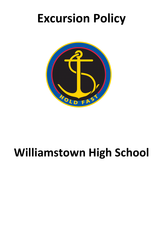# **Excursion Policy**



# **Williamstown High School**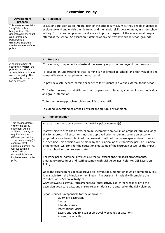# **Excursion Policy**

| <b>Development</b><br>process                                                                                                                                                                                                                                                     | <b>Rationale</b><br>1.                                                                                                                                                                                                                                                                                                                                                                                                                                                                                                     |
|-----------------------------------------------------------------------------------------------------------------------------------------------------------------------------------------------------------------------------------------------------------------------------------|----------------------------------------------------------------------------------------------------------------------------------------------------------------------------------------------------------------------------------------------------------------------------------------------------------------------------------------------------------------------------------------------------------------------------------------------------------------------------------------------------------------------------|
| This statement explains<br>"why" the policy is<br>being written. The<br>general overview might<br>also refer to any<br>background or<br>directives that led to<br>the development of the<br>policy.                                                                               | Excursions are seen as an integral part of the school curriculum as they enable students to<br>explore, extend and enrich their learning and their social skills development, in a non-school<br>setting. Excursions complement, and are an important aspect of the educational programs<br>offered at the school. An excursion is defined as any activity beyond the school grounds.                                                                                                                                      |
|                                                                                                                                                                                                                                                                                   | 2.<br><b>Purpose</b>                                                                                                                                                                                                                                                                                                                                                                                                                                                                                                       |
| A brief statement of                                                                                                                                                                                                                                                              | To reinforce, complement and extend the learning opportunities beyond the classroom.                                                                                                                                                                                                                                                                                                                                                                                                                                       |
| specifically "what" the<br>policy is intended to                                                                                                                                                                                                                                  |                                                                                                                                                                                                                                                                                                                                                                                                                                                                                                                            |
| accomplish, that is, the<br>aim of the policy. This<br>should only be one or                                                                                                                                                                                                      | To develop an understanding that learning is not limited to school, and that valuable and<br>powerful learning takes place in the real world.                                                                                                                                                                                                                                                                                                                                                                              |
| two sentences.                                                                                                                                                                                                                                                                    | To provide a safe, secure learning experience for students in a venue external to the school.                                                                                                                                                                                                                                                                                                                                                                                                                              |
|                                                                                                                                                                                                                                                                                   | To further develop social skills such as cooperation, tolerance, communication, individual<br>and group interaction.                                                                                                                                                                                                                                                                                                                                                                                                       |
|                                                                                                                                                                                                                                                                                   | To further develop problem solving and life survival skills.                                                                                                                                                                                                                                                                                                                                                                                                                                                               |
|                                                                                                                                                                                                                                                                                   | To extend understanding of their physical and cultural environment.                                                                                                                                                                                                                                                                                                                                                                                                                                                        |
|                                                                                                                                                                                                                                                                                   | Implementation<br>3.                                                                                                                                                                                                                                                                                                                                                                                                                                                                                                       |
| This section details                                                                                                                                                                                                                                                              | All excursions must be approved by the Principal or nominee(s)                                                                                                                                                                                                                                                                                                                                                                                                                                                             |
| "how" the policy<br>statement will be<br>achieved. It may set<br>requirements for<br>different parts of the<br>school community (for<br>example, staff,<br>students, parents) as<br>well as outlining<br>"who" will be<br>responsible for the<br>implementation of the<br>policy. | Staff wishing to organise an excursion must complete an excursion proposal form and lodge<br>this for approval. All excursions must be approved prior to running. Where an excursion<br>proposal has not been submitted, that excursion will not run, unless special circumstances<br>are pending. This decision will be made by the Principal or Assistant Principal. The Principal<br>or nominee(s) will consider the educational outcome of the excursion as well as the impact<br>on the school for the proposed date. |
|                                                                                                                                                                                                                                                                                   | The Principal or nominee(s) will ensure that all excursions, transport arrangements,<br>emergency procedures and staffing comply with DET guidelines. Refer to: DET Excursion<br>Policy                                                                                                                                                                                                                                                                                                                                    |
|                                                                                                                                                                                                                                                                                   | Once the excursion has been approved all relevant documentation must be completed. This<br>is available from the Principal or nominee(s). The Assistant Principal will complete the<br>'Notification of School Activity' at :<br>www.eduweb.vic.gov.au/forms/school/sal/enteractivity.asp three weeks prior to the<br>excursion departure date, and ensure relevant details are entered on the daily planner.                                                                                                              |
|                                                                                                                                                                                                                                                                                   | School Council is responsible for the approval of:<br>Overnight excursions<br>Camps<br>Interstate visits<br>International visits<br>Excursions requiring sea or air travel, weekends or vacations<br>Adventure activities                                                                                                                                                                                                                                                                                                  |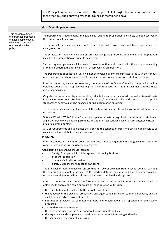The Principal nominee is responsible for the approval of all single-day excursions other than those that must be approved by school council as mentioned above.

### **4. Specific procedures**

This section outlines the practical processes that tell people exactly what they have to do to operate within this policy.

The Department's requirements and guidelines relating to preparation and safety will be observed in the conduct of all excursions.

The principal or their nominee will ensure that full records are maintained regarding the camp/excursion.

The principal or their nominee will ensure that adequate pre-excursion planning and preparation, including the preparation of students, takes place.

Satisfactory arrangements will be made to provide continuous instruction for the students remaining at the school during the absence of staff accompanying an excursion.

The Department of Education (DET) will not be involved in any expense associated with the conduct of excursions. The school may choose to subsidies some excursions or some student's expenses.

Prior to conducting a camp or excursion, the approval of the School Council or the principal will be obtained. Council must approve overnight or adventure activities. The Principal must approve these and other activities.

Only children who have displayed sensible, reliable behaviour at school will be invited to participate in camps or excursions. Students and their parents/carers need to be made aware that acceptable standards of behaviour will be expected during a camp or an excursion.

The emergency management process of the school will extend to and incorporate all camps and excursions.

Obtain a Working With Children Check for any person who is having direct contact with our students as part of their work e.g. leading students on a tour. Direct contact is face-to-face, physical, written, oral or electronic contact.

All DET requirements and guidelines that apply to the conduct of excursions are also applicable to all overseas and interstate (domestic) camps/excursions.

#### **PROGRAM**

Prior to conducting a camp or excursion, the Department's requirements and guidelines relating to camps or excursions, will be rigorously observed.

Consideration in planning should include:

- [Safety, Emergency & Risk Management](http://www.education.vic.gov.au/school/principals/spag/safety/Pages/excursionsafety.aspx#mainContent) , including Bushfires
- [Student Preparation](http://www.education.vic.gov.au/school/principals/spag/safety/Pages/preparation.aspx#mainContent)
- [Student Medical Information](http://www.education.vic.gov.au/school/principals/spag/safety/Pages/medicalinfo.aspx#mainContent)
- [Safety Guidelines for Education Outdoors](http://www.education.vic.gov.au/school/principals/safety/pages/outdoor.aspx#mainContent)

The principal or their nominee will ensure that full records are submitted to School Council regarding the camp/excursion well in advance of the starting date of the event and that no camp/excursion occurs unless all the formal record keeping has been completed and approved.

Prior to conducting any camp, the formal approval of the School Council and principal will be obtained. In approving a camp or excursion, consideration will include:

- the contribution of the activity to the school curriculum
- the adequacy of the planning, preparation and organisation in relation to the school policy and the guidelines and advice provided by DET
- information provided by community groups and organisations that specialise in the activity proposed
- appropriateness of the venue
- the provisions made for the safety and welfare of students and staff
- the experience and competence of staff relevant to the activities being undertaken
- the adequacy of the student supervision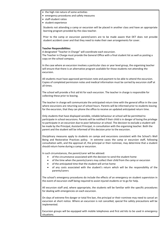- the high risk nature of some activities
- emergency procedures and safety measures
- staff-student ratios
- student experience

Students not attending a camp or excursion will be placed in another class and have an appropriate learning program provided by the class teacher.

Prior to the camp or excursion parent/carers are to be made aware that DET does not provide student accident cover and that they need to make their own arrangements for cover.

### **Teacher Responsibilities:**

A designated "Teacher in Charge" will coordinate each excursion. The Teacher in Charge must provide the General Office with a final student list as well as posting a

copy on the school compass.

In the case where an excursion involves a particular class or year level group, the organising teacher will ensure that there is an alternative program available for those students not attending the excursion.

All students must have approved permission note and payment to be able to attend the excursion. Copies of completed permission notes and medical information must be carried by excursion staff at all times.

The school will provide a first aid kit for each excursion. The teacher in charge is responsible for collecting these prior to leaving.

The teacher in charge will communicate the anticipated return time with the general office in the case where excursions are returning out of school hours. Parents will be informed prior to students leaving for the excursion, that they can phone the office to receive an updated anticipated return time.

Only students that have displayed sensible, reliable behaviour at school will be permitted to participate in school excursions. Parents will be notified if their child is in danger of losing the privilege to participate in an excursion due to poor behaviour at school. The decision to exclude a student will be made by the Principal, Assistant Principal, in consultation with the organising teacher. Both the parent and the student will be informed of this decision prior to the excursion.

Disciplinary measures apply to students on camps and excursions consistent with the School's Well Being and Restorative Practices policy. In extreme cases the camp or excursion staff, following consultation with, and the approval of, the principal or their nominee, may determine that a student should return home during a camp or excursion.

In such circumstances, the parent/carer will be advised:

- of the circumstance associated with the decision to send the student home
- of the time when the parents/carers may collect their child from the camp or excursion
- of the anticipated time that the student will arrive home
- of any costs associated with the student's return which will be the responsibility of the parents/carers

The school's emergency procedures do include the effects of an emergency on student supervision in the event of excursion staff being required to assist injured students or to go for help.

All excursion staff and, where appropriate, the students will be familiar with the specific procedures for dealing with emergencies on each excursion.

On days of extreme fire danger or total fire ban, the principal or their nominee may need to cancel an excursion at short notice. Where an excursion is not cancelled, special fire safety precautions will be implemented.

Excursion groups will be equipped with mobile telephones and first aid kits to be used in emergency situations.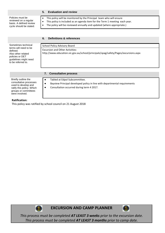# **5. Evaluation and review**

Policies must be reviewed on a regular basis. A defined review cycle should be stated.

- This policy will be monitored by the Principal team who will ensure
- This policy is included as an agenda item for the Term 1 meeting each year.
- The policy will be reviewed annually and updated (where appropriate.)

|                                                                                                                                                  | <b>Definitions &amp; references</b><br>6.                                                                                                                            |  |  |
|--------------------------------------------------------------------------------------------------------------------------------------------------|----------------------------------------------------------------------------------------------------------------------------------------------------------------------|--|--|
| Sometimes technical<br>terms will need to be<br>defined.<br>Also other related<br>policies or DET<br>guidelines might need<br>to be referred to. | School Policy Advisory Board<br><b>Excursion and Other Activities:</b><br>http://www.education.vic.gov.au/school/principals/spag/safety/Pages/excursions.aspx        |  |  |
|                                                                                                                                                  | <b>Consultative process</b><br>7.                                                                                                                                    |  |  |
| Briefly outline the<br>consultative processes<br>used to develop and<br>ratify this policy. Which<br>groups or committees<br>were involved.      | Tabled at Edpol Subcommittee.<br>$\bullet$<br>Bayview Principal developed policy in line with departmental requirements<br>Consultation occurred during term 4 2017. |  |  |

# **Ratification:**

This policy was ratified by school council on 21 August 2018



**EXCURSION AND CAMP PLANNER**



*This process must be completed AT LEAST 3 weeks prior to the excursion date. This process must be completed AT LEAST 3 months prior to camp date.*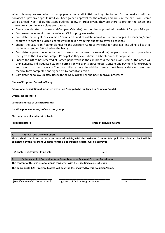When planning an excursion or camp please make all initial bookings tentative. Do not make confirmed bookings or pay any deposits until you have gained approval for the activity and are sure the excursion / camp will go ahead. Next follow the steps outlined below in order given. They are there to protect the school and make sure all contingency plans are covered.

- Check calendar (term planner and Compass Calendar) and confirm approval with Assistant Campus Principal
- Confirm endorsement from the relevant CAT or program leader
- Complete the budget for excursion / camp costs and calculate individual student charges. If excursion / camp charges are part of a budget, charges will be taken from this budget to cover all costings.
- Submit the excursion / camp planner to the Assistant Campus Principal for approval, including a list of all students attending (attached on the back)
- Complete required documentation for camps (and adventure excursions) as per school council procedure then give to the Assistant Campus Principal so they can submit to school council for approval.
- Ensure the Office has received all signed paperwork so the can process the excursion / camp. The office will then generate individualised student permission via events on Compass. Consent and payment for excursions and camps can be made via Compass. Please note: In addition camps must have a detailed camp and medical form completed and signed off by parent/guardian
- Complete the follow up activities with the Daily Organiser and post-approval processes

**Name of Proposed Excursion/Camp:**

**Educational description of proposed excursion / camp (to be published in Compass Events):**

**Organising teacher/s:** 

**Location address of excursion/camp: '**

**Location phone number/s of excursion/camp:** 

**Class or group of students involved:** 

**Proposed date/s: Times of excursion/camp:** 

# **1. Approval and Calendar Check**

**Please check the dates, purpose and type of activity with the Assistant Campus Principal. The calendar check will be completed by the Assistant Campus Principal and if possible dates will be approved.** 

(Signature of Assistant Principal) and the control of the Date of Date of Assistant Principal)

**2. Endorsement of Curriculum Area Team Leader or Relevant Program Coordinator**

**\_\_\_\_\_\_\_\_\_\_\_\_\_\_\_\_\_\_\_\_\_\_\_\_\_\_\_\_\_\_\_\_\_\_\_\_\_\_\_\_\_\_\_\_\_\_\_\_\_\_\_\_\_\_ \_\_\_\_\_\_\_\_\_\_\_\_\_\_\_\_\_\_**

**The content of this excursion/camp is consistent with the specified course of study.** 

**The appropriate CAT/Program budget will bear the loss incurred by this excursion/camp.**

(*Specify name of CAT or Program*) (*Signature of CAT or Program Leader* Date

 $\frac{\frac{1}{2} \left( \frac{1}{2} \right) \left( \frac{1}{2} \right) \left( \frac{1}{2} \right) \left( \frac{1}{2} \right) \left( \frac{1}{2} \right) \left( \frac{1}{2} \right) \left( \frac{1}{2} \right) \left( \frac{1}{2} \right) \left( \frac{1}{2} \right) \left( \frac{1}{2} \right) \left( \frac{1}{2} \right) \left( \frac{1}{2} \right) \left( \frac{1}{2} \right) \left( \frac{1}{2} \right) \left( \frac{1}{2} \right) \left( \frac{1}{2} \right) \left($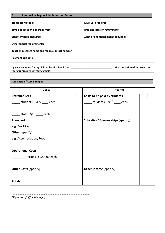# **3. Information Required for Permission Forms**

| <b>Transport Method:</b>                                                                   | <b>Myki Card required:</b>           |
|--------------------------------------------------------------------------------------------|--------------------------------------|
| Time and location departing from:                                                          | Time and location returning to:      |
| <b>School Uniform Required:</b>                                                            | Lunch or additional money required:  |
| Other special requirements:                                                                |                                      |
| Teacher in charge name and mobile contact number                                           |                                      |
| Payment due date:                                                                          |                                      |
| I give permission for my child to be dismissed from<br>(not appropriate for year 7 and 8). | at the conclusion of this excursion. |

# **4.Excursion / Camp Budget**

| Income                                    |         |
|-------------------------------------------|---------|
| \$<br>Costs to be paid by students        | $\zeta$ |
| _students $\omega$ \$ ___ each            |         |
|                                           |         |
|                                           |         |
| <b>Subsidies / Sponsorships (specify)</b> |         |
|                                           |         |
|                                           |         |
|                                           |         |
|                                           |         |
|                                           |         |
|                                           |         |
|                                           |         |
| <b>Other Income (specify)</b>             |         |
|                                           |         |
|                                           |         |
|                                           |         |

*(Signature of Office Manager)*

…………………………………………………………………………………………………………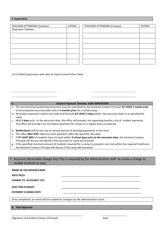# **5. Supervison**

| <b>TEACHERS ATTENDING (Campus)</b> | <b>EXTRAS</b> | <b>TEACHERS ATTENDING (Campus)</b> | <b>EXTRAS</b> |
|------------------------------------|---------------|------------------------------------|---------------|
| <b>Classroom Teachers</b>          |               |                                    |               |
|                                    |               |                                    |               |
|                                    |               |                                    |               |
|                                    |               |                                    |               |
|                                    |               |                                    |               |
|                                    |               |                                    |               |
|                                    |               |                                    |               |
|                                    |               |                                    |               |

List of Adult Supervisors with date of cited Current Police Check.

……………………………………………………………………

…………………………………………………….......... …………………………………………………...........

# **6.** *Student Payment Timeline: VERY IMPORTANT*

- a. The excursion/camp planning document must be submitted to the Assistant Campus Principal **AT LEAST 3 weeks prior** to the proposed excursion date and or **3 months prior** for a school camp.
- b. All student payments need to be made and finalised **AT LEAST 3 days** before the excursion date or as specified for camp.
- c. With **5 days** prior to the excursion date, the office will provide the organising teacher a list of student payments. The office will provide a list of student payments for camps on a regular basis as required.
- d. **Notifications** will be sent out to remind parents of pending payements at this time.
- e. The office **WILL NOT** take any more payments after the specified due date.
- f. If **AT LEAST 80%** of students have not paid within **3 school days prior to the excursion date,** the Assistant Campus Principal will discuss and decide if the excursion or camp will proceed.
- g. If the specified minimum amount of students required for a camp to proceed is not met within the required timeframe the Assistant Campus Principal will discuss if the camp will proceeed.

7. Accounts Receivable Charge Slip (This is required by the Adminstration staff to create a charge to enable students to pay)

| <b>NAME OF EXCURSION/CAMP:</b> |  |
|--------------------------------|--|
| <b>DATE HELD:</b>              |  |
| <b>CHARGE TO ACCOUNT/ CAT:</b> |  |
| <b>COST PER STUDENT:</b>       |  |
| <b>PAYMENT CLOSING DATE</b>    |  |
|                                |  |

Once completed, an event will be created on Compass by the administration team.

\_\_\_\_\_\_\_\_\_\_\_\_\_\_\_\_\_\_\_\_\_\_\_\_\_\_\_\_\_\_\_\_\_\_\_\_\_\_\_\_\_\_\_\_\_\_\_\_\_\_\_ \_\_\_\_\_\_\_\_\_\_\_\_\_\_\_\_\_\_

**8. Final Approval**